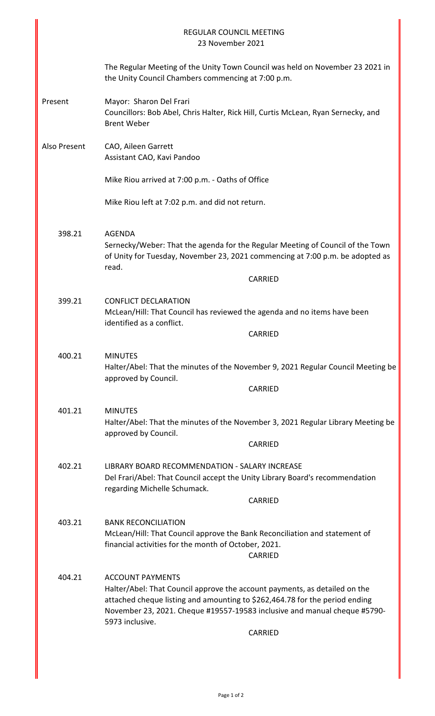|              | REGULAR COUNCIL MEETING<br>23 November 2021                                                                                                                                                                                                                                                            |
|--------------|--------------------------------------------------------------------------------------------------------------------------------------------------------------------------------------------------------------------------------------------------------------------------------------------------------|
|              | The Regular Meeting of the Unity Town Council was held on November 23 2021 in<br>the Unity Council Chambers commencing at 7:00 p.m.                                                                                                                                                                    |
| Present      | Mayor: Sharon Del Frari<br>Councillors: Bob Abel, Chris Halter, Rick Hill, Curtis McLean, Ryan Sernecky, and<br><b>Brent Weber</b>                                                                                                                                                                     |
| Also Present | CAO, Aileen Garrett<br>Assistant CAO, Kavi Pandoo                                                                                                                                                                                                                                                      |
|              | Mike Riou arrived at 7:00 p.m. - Oaths of Office                                                                                                                                                                                                                                                       |
|              | Mike Riou left at 7:02 p.m. and did not return.                                                                                                                                                                                                                                                        |
| 398.21       | <b>AGENDA</b><br>Sernecky/Weber: That the agenda for the Regular Meeting of Council of the Town<br>of Unity for Tuesday, November 23, 2021 commencing at 7:00 p.m. be adopted as<br>read.                                                                                                              |
|              | <b>CARRIED</b>                                                                                                                                                                                                                                                                                         |
| 399.21       | <b>CONFLICT DECLARATION</b><br>McLean/Hill: That Council has reviewed the agenda and no items have been<br>identified as a conflict.                                                                                                                                                                   |
|              | <b>CARRIED</b>                                                                                                                                                                                                                                                                                         |
| 400.21       | <b>MINUTES</b><br>Halter/Abel: That the minutes of the November 9, 2021 Regular Council Meeting be<br>approved by Council.<br><b>CARRIED</b>                                                                                                                                                           |
| 401.21       | <b>MINUTES</b><br>Halter/Abel: That the minutes of the November 3, 2021 Regular Library Meeting be<br>approved by Council.<br><b>CARRIED</b>                                                                                                                                                           |
| 402.21       | LIBRARY BOARD RECOMMENDATION - SALARY INCREASE<br>Del Frari/Abel: That Council accept the Unity Library Board's recommendation<br>regarding Michelle Schumack.<br><b>CARRIED</b>                                                                                                                       |
| 403.21       | <b>BANK RECONCILIATION</b>                                                                                                                                                                                                                                                                             |
|              | McLean/Hill: That Council approve the Bank Reconciliation and statement of<br>financial activities for the month of October, 2021.<br><b>CARRIED</b>                                                                                                                                                   |
| 404.21       | <b>ACCOUNT PAYMENTS</b><br>Halter/Abel: That Council approve the account payments, as detailed on the<br>attached cheque listing and amounting to \$262,464.78 for the period ending<br>November 23, 2021. Cheque #19557-19583 inclusive and manual cheque #5790-<br>5973 inclusive.<br><b>CARRIED</b> |
|              |                                                                                                                                                                                                                                                                                                        |